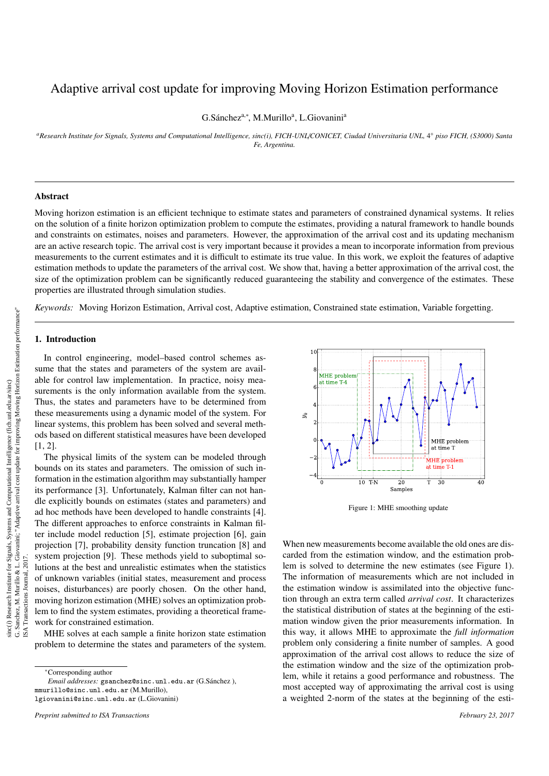# Adaptive arrival cost update for improving Moving Horizon Estimation performance

G.Sánchez<sup>a,\*</sup>, M.Murillo<sup>a</sup>, L.Giovanini<sup>a</sup>

*<sup>a</sup>Research Institute for Signals, Systems and Computational Intelligence, sinc(i), FICH-UNL*/*CONICET, Ciudad Universitaria UNL,* 4 ◦ *piso FICH, (S3000) Santa Fe, Argentina.*

#### Abstract

Moving horizon estimation is an efficient technique to estimate states and parameters of constrained dynamical systems. It relies on the solution of a finite horizon optimization problem to compute the estimates, providing a natural framework to handle bounds and constraints on estimates, noises and parameters. However, the approximation of the arrival cost and its updating mechanism are an active research topic. The arrival cost is very important because it provides a mean to incorporate information from previous measurements to the current estimates and it is difficult to estimate its true value. In this work, we exploit the features of adaptive estimation methods to update the parameters of the arrival cost. We show that, having a better approximation of the arrival cost, the size of the optimization problem can be significantly reduced guaranteeing the stability and convergence of the estimates. These properties are illustrated through simulation studies.

*Keywords:* Moving Horizon Estimation, Arrival cost, Adaptive estimation, Constrained state estimation, Variable forgetting.

# 1. Introduction

In control engineering, model–based control schemes assume that the states and parameters of the system are available for control law implementation. In practice, noisy measurements is the only information available from the system. Thus, the states and parameters have to be determined from these measurements using a dynamic model of the system. For linear systems, this problem has been solved and several methods based on different statistical measures have been developed [1, 2].

The physical limits of the system can be modeled through bounds on its states and parameters. The omission of such information in the estimation algorithm may substantially hamper its performance [3]. Unfortunately, Kalman filter can not handle explicitly bounds on estimates (states and parameters) and ad hoc methods have been developed to handle constraints [4]. The different approaches to enforce constraints in Kalman filter include model reduction [5], estimate projection [6], gain projection [7], probability density function truncation [8] and system projection [9]. These methods yield to suboptimal solutions at the best and unrealistic estimates when the statistics of unknown variables (initial states, measurement and process noises, disturbances) are poorly chosen. On the other hand, moving horizon estimation (MHE) solves an optimization problem to find the system estimates, providing a theoretical framework for constrained estimation.

MHE solves at each sample a finite horizon state estimation problem to determine the states and parameters of the system.

*Email addresses:* gsanchez@sinc.unl.edu.ar (G.Sanchez ), ´ mmurillo@sinc.unl.edu.ar (M.Murillo), lgiovanini@sinc.unl.edu.ar (L.Giovanini)



Figure 1: MHE smoothing update

When new measurements become available the old ones are discarded from the estimation window, and the estimation problem is solved to determine the new estimates (see Figure 1). The information of measurements which are not included in the estimation window is assimilated into the objective function through an extra term called *arrival cost*. It characterizes the statistical distribution of states at the beginning of the estimation window given the prior measurements information. In this way, it allows MHE to approximate the *full information* problem only considering a finite number of samples. A good approximation of the arrival cost allows to reduce the size of the estimation window and the size of the optimization problem, while it retains a good performance and robustness. The most accepted way of approximating the arrival cost is using a weighted 2-norm of the states at the beginning of the esti-

<sup>∗</sup>Corresponding author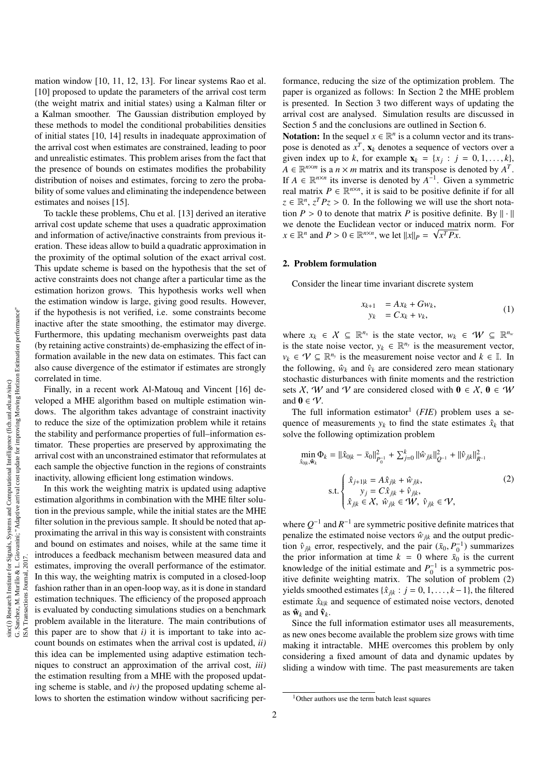ISA Transactions Journal, 2017.

mation window [10, 11, 12, 13]. For linear systems Rao et al. [10] proposed to update the parameters of the arrival cost term (the weight matrix and initial states) using a Kalman filter or a Kalman smoother. The Gaussian distribution employed by these methods to model the conditional probabilities densities of initial states [10, 14] results in inadequate approximation of the arrival cost when estimates are constrained, leading to poor and unrealistic estimates. This problem arises from the fact that the presence of bounds on estimates modifies the probability distribution of noises and estimates, forcing to zero the probability of some values and eliminating the independence between estimates and noises [15].

To tackle these problems, Chu et al. [13] derived an iterative arrival cost update scheme that uses a quadratic approximation and information of active/inactive constraints from previous iteration. These ideas allow to build a quadratic approximation in the proximity of the optimal solution of the exact arrival cost. This update scheme is based on the hypothesis that the set of active constraints does not change after a particular time as the estimation horizon grows. This hypothesis works well when the estimation window is large, giving good results. However, if the hypothesis is not verified, i.e. some constraints become inactive after the state smoothing, the estimator may diverge. Furthermore, this updating mechanism overweights past data (by retaining active constraints) de-emphasizing the effect of information available in the new data on estimates. This fact can also cause divergence of the estimator if estimates are strongly correlated in time.

Finally, in a recent work Al-Matouq and Vincent [16] developed a MHE algorithm based on multiple estimation windows. The algorithm takes advantage of constraint inactivity to reduce the size of the optimization problem while it retains the stability and performance properties of full–information estimator. These properties are preserved by approximating the arrival cost with an unconstrained estimator that reformulates at each sample the objective function in the regions of constraints inactivity, allowing efficient long estimation windows.

In this work the weighting matrix is updated using adaptive estimation algorithms in combination with the MHE filter solution in the previous sample, while the initial states are the MHE filter solution in the previous sample. It should be noted that approximating the arrival in this way is consistent with constraints and bound on estimates and noises, while at the same time it introduces a feedback mechanism between measured data and estimates, improving the overall performance of the estimator. In this way, the weighting matrix is computed in a closed-loop fashion rather than in an open-loop way, as it is done in standard estimation techniques. The efficiency of the proposed approach is evaluated by conducting simulations studies on a benchmark problem available in the literature. The main contributions of this paper are to show that  $i$ ) it is important to take into account bounds on estimates when the arrival cost is updated, *ii)* this idea can be implemented using adaptive estimation techniques to construct an approximation of the arrival cost, *iii)* the estimation resulting from a MHE with the proposed updating scheme is stable, and *iv)* the proposed updating scheme allows to shorten the estimation window without sacrificing per-

formance, reducing the size of the optimization problem. The paper is organized as follows: In Section 2 the MHE problem is presented. In Section 3 two different ways of updating the arrival cost are analysed. Simulation results are discussed in Section 5 and the conclusions are outlined in Section 6.

**Notation:** In the sequel  $x \in \mathbb{R}^n$  is a column vector and its transpose is denoted as  $x^T$ ,  $\mathbf{x}_k$  denotes a sequence of vectors over a given index up to *k*, for example  $\mathbf{x}_k = \{x_j : j = 0, 1, \ldots, k\}$ ,  $A \in \mathbb{R}^{n \times m}$  is a  $n \times m$  matrix and its transpose is denoted by  $A^T$  $A \in \mathbb{R}^{n \times m}$  is a  $n \times m$  matrix and its transpose is denoted by  $A^T$ . If  $A \in \mathbb{R}^{n \times n}$  its inverse is denoted by  $A^{-1}$ . Given a symmetric real matrix  $P \in \mathbb{R}^{n \times n}$ , it is said to be positive definite if for all  $z \in \mathbb{R}^n$ ,  $z^T P z > 0$ . In the following we will use the short nota-<br>tion  $P > 0$  to denote that matrix P is positive definite. By  $|| \cdot ||$ tion  $P > 0$  to denote that matrix P is positive definite. By  $\|\cdot\|$ we denote the Euclidean vector or induced matrix norm. For  $x \in \mathbb{R}^n$  and  $P > 0 \in \mathbb{R}^{n \times n}$ , we let  $||x||_P = \sqrt{x^T P x}$ .

#### 2. Problem formulation

Consider the linear time invariant discrete system

$$
x_{k+1} = Ax_k + Gw_k,
$$
  
\n
$$
y_k = Cx_k + v_k,
$$
\n(1)

where  $x_k \in \mathcal{X} \subseteq \mathbb{R}^{n_x}$  is the state vector,  $w_k \in \mathcal{W} \subseteq \mathbb{R}^{n_w}$ is the state noise vector,  $y_k \in \mathbb{R}^{n_y}$  is the measurement vector,  $v_k \in \mathcal{V} \subseteq \mathbb{R}^{n_y}$  is the measurement noise vector and  $k \in \mathbb{I}$ . In the following,  $\hat{w}_k$  and  $\hat{v}_k$  are considered zero mean stationary stochastic disturbances with finite moments and the restriction sets X, W and V are considered closed with  $0 \in X$ ,  $0 \in W$ and  $0 \in \mathcal{V}$ .

The full information estimator<sup>1</sup> ( $FIE$ ) problem uses a sequence of measurements  $y_k$  to find the state estimates  $\hat{x}_k$  that solve the following optimization problem

$$
\min_{\hat{x}_{0|k}, \hat{w}_k} \Phi_k = ||\hat{x}_{0|k} - \bar{x}_0||_{P_{0}^{-1}}^2 + \sum_{j=0}^k ||\hat{w}_{j|k}||_{Q^{-1}}^2 + ||\hat{v}_{j|k}||_{R^{-1}}^2
$$
\n
$$
\text{s.t.} \begin{cases} \hat{x}_{j+1|k} = A\hat{x}_{j|k} + \hat{w}_{j|k}, \\ y_j = C\hat{x}_{j|k} + \hat{v}_{j|k}, \\ \hat{x}_{j|k} \in X, \ \hat{w}_{j|k} \in W, \ \hat{v}_{j|k} \in V, \end{cases} \tag{2}
$$

where  $Q^{-1}$  and  $R^{-1}$  are symmetric positive definite matrices that penalize the estimated noise vectors  $\hat{w}_{jk}$  and the output prediction  $\hat{v}_{jk}$  error, respectively, and the pair  $(\bar{x}_0, P_0^{-1})$  summarizes<br>the prior information at time  $k = 0$  where  $\bar{v}_0$  is the current the prior information at time  $k = 0$  where  $\bar{x}_0$  is the current knowledge of the initial estimate and  $P_0^{-1}$  is a symmetric positive definite weighting matrix. The solution of problem (2) yields smoothed estimates { $\hat{x}_{jk}$  : *j* = 0, 1, . . . , *k*−1}, the filtered estimate  $\hat{x}_{ik}$  and sequence of estimated noise vectors, denoted estimate  $\hat{x}_{kk}$  and sequence of estimated noise vectors, denoted as  $\hat{\mathbf{w}}_k$  and  $\hat{\mathbf{v}}_k$ .

Since the full information estimator uses all measurements, as new ones become available the problem size grows with time making it intractable. MHE overcomes this problem by only considering a fixed amount of data and dynamic updates by sliding a window with time. The past measurements are taken

<sup>&</sup>lt;sup>1</sup>Other authors use the term batch least squares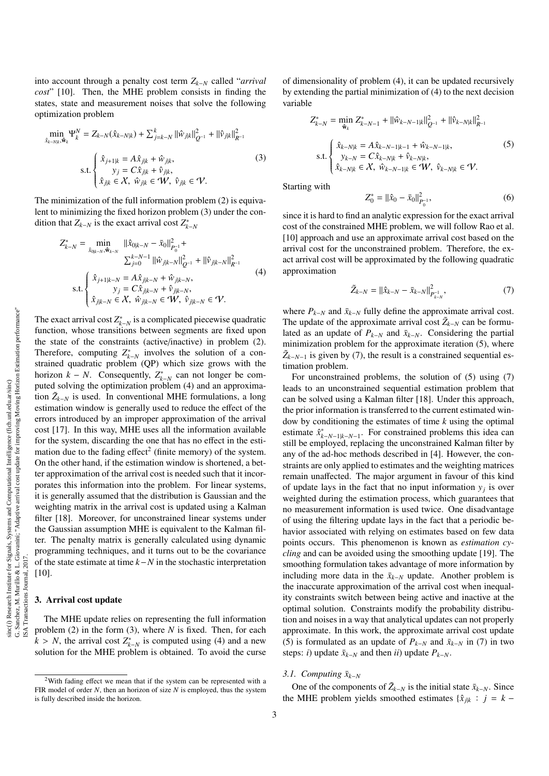into account through a penalty cost term *Zk*−*<sup>N</sup>* called "*arrival cost*" [10]. Then, the MHE problem consists in finding the states, state and measurement noises that solve the following optimization problem

$$
\min_{\hat{x}_{k-N|k}, \hat{\mathbf{w}}_k} \Psi_k^N = Z_{k-N}(\hat{x}_{k-N|k}) + \sum_{j=k-N}^k ||\hat{w}_{j|k}||_{Q^{-1}}^2 + ||\hat{v}_{j|k}||_{R^{-1}}^2
$$
  
s.t. 
$$
\begin{cases} \hat{x}_{j+1|k} = A\hat{x}_{j|k} + \hat{w}_{j|k}, \\ y_j = C\hat{x}_{j|k} + \hat{v}_{j|k}, \\ \hat{x}_{j|k} \in \mathcal{X}, \ \hat{w}_{j|k} \in \mathcal{W}, \ \hat{v}_{j|k} \in \mathcal{V}. \end{cases}
$$
(3)

The minimization of the full information problem (2) is equivalent to minimizing the fixed horizon problem (3) under the condition that  $Z_{k-N}$  is the exact arrival cost  $Z_{k-N}^*$ 

$$
Z_{k-N}^{*} = \min_{\hat{x}_{0|k-N}, \hat{w}_{k-N}} ||\hat{x}_{0|k-N} - \bar{x}_0||_{P_0^{-1}}^2 + \n\sum_{j=0}^{k-N-1} ||\hat{w}_{j|k-N}||_{Q^{-1}}^2 + ||\hat{v}_{j|k-N}||_{R^{-1}}^2 \ns.t. \begin{cases} \hat{x}_{j+1|k-N} = A\hat{x}_{j|k-N} + \hat{w}_{j|k-N}, \\ y_j = C\hat{x}_{j|k-N} + \hat{v}_{j|k-N}, \\ \hat{x}_{j|k-N} \in X, \ \hat{w}_{j|k-N} \in \mathcal{W}, \ \hat{v}_{j|k-N} \in \mathcal{V}. \end{cases} (4)
$$

The exact arrival cost  $Z_{k-N}^*$  is a complicated piecewise quadratic function, whose transitions between segments are fixed upon the state of the constraints (active/inactive) in problem (2). Therefore, computing  $Z_{k-N}^*$  involves the solution of a constrained quadratic problem (QP) which size grows with the horizon  $k - N$ . Consequently,  $Z_{k-N}^*$  can not longer be computed solving the optimization problem (4) and an approximation  $\tilde{Z}_{k-N}$  is used. In conventional MHE formulations, a long estimation window is generally used to reduce the effect of the errors introduced by an improper approximation of the arrival cost [17]. In this way, MHE uses all the information available for the system, discarding the one that has no effect in the estimation due to the fading effect<sup>2</sup> (finite memory) of the system. On the other hand, if the estimation window is shortened, a better approximation of the arrival cost is needed such that it incorporates this information into the problem. For linear systems, it is generally assumed that the distribution is Gaussian and the weighting matrix in the arrival cost is updated using a Kalman filter [18]. Moreover, for unconstrained linear systems under the Gaussian assumption MHE is equivalent to the Kalman filter. The penalty matrix is generally calculated using dynamic programming techniques, and it turns out to be the covariance of the state estimate at time *k*−*N* in the stochastic interpretation [10].

# 3. Arrival cost update

The MHE update relies on representing the full information problem (2) in the form (3), where *N* is fixed. Then, for each  $k > N$ , the arrival cost  $Z_{k-N}^*$  is computed using (4) and a new<br>solution for the MHE problem is obtained. To avoid the curse solution for the MHE problem is obtained. To avoid the curse

of dimensionality of problem (4), it can be updated recursively by extending the partial minimization of (4) to the next decision variable

$$
Z_{k-N}^{*} = \min_{\hat{\mathbf{w}}_{k}} Z_{k-N-1}^{*} + ||\hat{w}_{k-N-1|k}||_{Q^{-1}}^{2} + ||\hat{v}_{k-N|k}||_{R^{-1}}^{2}
$$
  

$$
s.t. \begin{cases} \hat{x}_{k-N|k} = A\hat{x}_{k-N-1|k-1} + \hat{w}_{k-N-1|k}, \\ y_{k-N} = C\hat{x}_{k-N|k} + \hat{v}_{k-N|k}, \\ \hat{x}_{k-N|k} \in \mathcal{X}, \ \hat{w}_{k-N-1|k} \in \mathcal{W}, \ \hat{v}_{k-N|k} \in \mathcal{V}. \end{cases}
$$
(5)

Starting with

$$
Z_0^* = ||\hat{x}_0 - \bar{x}_0||_{P_0^{-1}}^2,\tag{6}
$$

since it is hard to find an analytic expression for the exact arrival cost of the constrained MHE problem, we will follow Rao et al. [10] approach and use an approximate arrival cost based on the arrival cost for the unconstrained problem. Therefore, the exact arrival cost will be approximated by the following quadratic approximation

$$
\tilde{Z}_{k-N} = ||\hat{x}_{k-N} - \bar{x}_{k-N}||_{P_{k-N}^{-1}}^2,
$$
\n(7)

where  $P_{k-N}$  and  $\bar{x}_{k-N}$  fully define the approximate arrival cost. The update of the approximate arrival cost  $\tilde{Z}_{k-N}$  can be formulated as an update of  $P_{k-N}$  and  $\bar{x}_{k-N}$ . Considering the partial minimization problem for the approximate iteration (5), where  $\tilde{Z}_{k-N-1}$  is given by (7), the result is a constrained sequential estimation problem.

For unconstrained problems, the solution of (5) using (7) leads to an unconstrained sequential estimation problem that can be solved using a Kalman filter [18]. Under this approach, the prior information is transferred to the current estimated window by conditioning the estimates of time *k* using the optimal estimate  $\hat{x}_{k-N-1|k-N-1}^*$ . For constrained problems this idea can still be employed, replacing the unconstrained Kalman filter by any of the ad-hoc methods described in [4]. However, the constraints are only applied to estimates and the weighting matrices remain unaffected. The major argument in favour of this kind of update lays in the fact that no input information  $y_j$  is over weighted during the estimation process, which guarantees that no measurement information is used twice. One disadvantage of using the filtering update lays in the fact that a periodic behavior associated with relying on estimates based on few data points occurs. This phenomenon is known as *estimation cycling* and can be avoided using the smoothing update [19]. The smoothing formulation takes advantage of more information by including more data in the  $\bar{x}_{k-N}$  update. Another problem is the inaccurate approximation of the arrival cost when inequality constraints switch between being active and inactive at the optimal solution. Constraints modify the probability distribution and noises in a way that analytical updates can not properly approximate. In this work, the approximate arrival cost update (5) is formulated as an update of  $P_{k-N}$  and  $\bar{x}_{k-N}$  in (7) in two steps: *i*) update  $\bar{x}_{k-N}$  and then *ii*) update  $P_{k-N}$ .

#### *3.1. Computing*  $\bar{x}_{k-N}$

One of the components of  $\tilde{Z}_{k-N}$  is the initial state  $\bar{x}_{k-N}$ . Since the MHE problem yields smoothed estimates { $\hat{x}_{jk}$  : *j* = *k* −

<sup>2</sup>With fading effect we mean that if the system can be represented with a FIR model of order *N*, then an horizon of size *N* is employed, thus the system is fully described inside the horizon.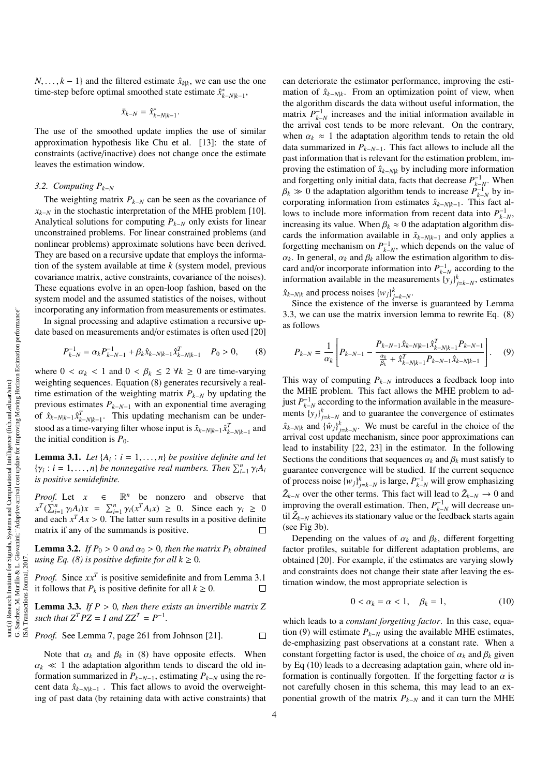ISA Transactions Journal, 2017.

*N*, ..., *k* − 1} and the filtered estimate  $\hat{x}_{k|k}$ , we can use the one time-step before optimal smoothed state estimate  $\hat{x}_{k-N|k-1}^*$ ,

$$
\bar{x}_{k-N} = \hat{x}_{k-N|k-1}^*
$$

The use of the smoothed update implies the use of similar approximation hypothesis like Chu et al. [13]: the state of constraints (active/inactive) does not change once the estimate leaves the estimation window.

### *3.2. Computing Pk*−*<sup>N</sup>*

The weighting matrix  $P_{k-N}$  can be seen as the covariance of  $x_{k-N}$  in the stochastic interpretation of the MHE problem [10]. Analytical solutions for computing *Pk*−*<sup>N</sup>* only exists for linear unconstrained problems. For linear constrained problems (and nonlinear problems) approximate solutions have been derived. They are based on a recursive update that employs the information of the system available at time *k* (system model, previous covariance matrix, active constraints, covariance of the noises). These equations evolve in an open-loop fashion, based on the system model and the assumed statistics of the noises, without incorporating any information from measurements or estimates.

In signal processing and adaptive estimation a recursive update based on measurements and/or estimates is often used [20]

$$
P_{k-N}^{-1} = \alpha_k P_{k-N-1}^{-1} + \beta_k \hat{x}_{k-N|k-1} \hat{x}_{k-N|k-1}^T \quad P_0 > 0,\tag{8}
$$

where  $0 < \alpha_k < 1$  and  $0 < \beta_k \leq 2 \forall k \geq 0$  are time-varying weighting sequences. Equation (8) generates recursively a realtime estimation of the weighting matrix  $P_{k-N}$  by updating the previous estimates  $P_{k-N-1}$  with an exponential time averaging of  $\hat{x}_{k-N|k-1} \hat{x}_{k-N|k-1}^T$ . This updating mechanism can be understood as a time-varying filter whose input is  $\hat{x}_{k-N|k-1} \hat{x}_{k-N|k-1}^T$  and the initial condition is  $P_0$ .

**Lemma 3.1.** *Let*  $\{A_i : i = 1, ..., n\}$  *be positive definite and let*<br> $\{A_k : i = 1, ..., n\}$  *be poppeddive real numbers. Then*  $\sum_{i=1}^{n} x_i A_i$  $\{\gamma_i : i = 1, \ldots, n\}$  *be nonnegative real numbers. Then*  $\sum_{i=1}^n \gamma_i A_i$ <br>*is nositive semidefinite is positive semidefinite.*

*Proof.* Let  $x \in \mathbb{R}^n$  be nonzero and observe that  $x^T (\sum_{i=1}^n \gamma_i A_i) x = \sum_{i=1}^n \gamma_i (x^T A_i x) \ge 0$ . Since each  $\gamma_i \ge 0$ <br>and each  $x^T A x > 0$ . The latter sum results in a positive definite and each  $x^T A x > 0$ . The latter sum results in a positive definite<br>matrix if any of the summands is positive matrix if any of the summands is positive.

**Lemma 3.2.** *If*  $P_0 > 0$  *and*  $\alpha_0 > 0$ *, then the matrix*  $P_k$  *obtained using Eq. (8) is positive definite for all*  $k \geq 0$ *.* 

*Proof.* Since *xx<sup>T</sup>* is positive semidefinite and from Lemma 3.1 it follows that  $P_k$  is positive definite for all  $k \geq 0$ .  $\Box$ 

Lemma 3.3. *If P* > <sup>0</sup>*, then there exists an invertible matrix Z such that*  $Z^T P Z = I$  *and*  $Z Z^T = P^{-1}$ *.* 

*Proof.* See Lemma 7, page 261 from Johnson [21]. 
$$
\Box
$$

Note that  $\alpha_k$  and  $\beta_k$  in (8) have opposite effects. When  $\alpha_k \ll 1$  the adaptation algorithm tends to discard the old information summarized in  $P_{k-N-1}$ , estimating  $P_{k-N}$  using the recent data  $\hat{x}_{k-N|k-1}$ . This fact allows to avoid the overweighting of past data (by retaining data with active constraints) that

can deteriorate the estimator performance, improving the estimation of  $\hat{x}_{k-N|k}$ . From an optimization point of view, when the algorithm discards the data without useful information, the matrix  $P_{k-N}^{-1}$  increases and the initial information available in the arrival cost tends to be more relevant. On the contrary, when  $\alpha_k \approx 1$  the adaptation algorithm tends to retain the old data summarized in *Pk*−*N*−1. This fact allows to include all the past information that is relevant for the estimation problem, improving the estimation of  $\hat{x}_{k-N/k}$  by including more information and forgetting only initial data, facts that decrease  $P_{k-N}^{-1}$ . When  $\beta_k \gg 0$  the adaptation algorithm tends to increase  $\hat{P}_{k-N}^{-1}$  by increase *P*<sub>*k*−*N*</sub> by in-corporating information from estimates  $\hat{x}_{k-N}$  . This fact algorithm corporating information from estimates ˆ*xk*−*N*|*k*−1. This fact allows to include more information from recent data into  $P_{k-N}^{-1}$ , increasing its value. When  $\beta_k \approx 0$  the adaptation algorithm discards the information available in  $\hat{x}_{k-N|k-1}$  and only applies a forgetting mechanism on  $P_{k-N}^{-1}$ , which depends on the value of  $\alpha_k$ . In general,  $\alpha_k$  and  $\beta_k$  allow the estimation algorithm to discard and/or incorporate information into  $P_{k-N}^{-1}$  according to the information available in the measurements  $\{y_j\}_{j=k-N}^k$ , estimates

 $\hat{x}_{k-N|k}$  and process noises  $\{w_j\}_{j=k-N}^k$ .

Since the existence of the inverse is guaranteed by Lemma 3.3, we can use the matrix inversion lemma to rewrite Eq. (8) as follows

$$
P_{k-N} = \frac{1}{\alpha_k} \left[ P_{k-N-1} - \frac{P_{k-N-1} \hat{x}_{k-N|k-1} \hat{x}_{k-N|k-1}^T P_{k-N-1}}{\frac{\alpha_k}{\beta_k} + \hat{x}_{k-N|k-1}^T P_{k-N-1} \hat{x}_{k-N|k-1}} \right].
$$
 (9)

This way of computing  $P_{k-N}$  introduces a feedback loop into the MHE problem. This fact allows the MHE problem to adjust  $P_{k-N}^{-1}$  according to the information available in the measurements  ${y_j}_{j=k-N}^k$  and to guarantee the convergence of estimates  $\hat{x}_{k-N|k}$  and  ${\hat{w}_j}_{j=k-N}^k$ . We must be careful in the choice of the arrival cost update mechanism, since poor approximations can lead to instability [22, 23] in the estimator. In the following Sections the conditions that sequences  $\alpha_k$  and  $\beta_k$  must satisfy to guarantee convergence will be studied. If the current sequence of process noise  $\{w_j\}_{j=k-N}^k$  is large,  $P_{k-N}^{-1}$  will grow emphasizing  $\tilde{Z}_{k-N}$  over the other terms. This fact will lead to  $\tilde{Z}_{k-N}$  → 0 and improving the overall estimation. Then,  $P_{k-N}^{-1}$  will decrease until  $\tilde{Z}_{k-N}$  achieves its stationary value or the feedback starts again (see Fig 3b).

Depending on the values of  $\alpha_k$  and  $\beta_k$ , different forgetting factor profiles, suitable for different adaptation problems, are obtained [20]. For example, if the estimates are varying slowly and constraints does not change their state after leaving the estimation window, the most appropriate selection is

$$
0 < \alpha_k = \alpha < 1, \quad \beta_k = 1,\tag{10}
$$

which leads to a *constant forgetting factor*. In this case, equation (9) will estimate  $P_{k-N}$  using the available MHE estimates, de-emphasizing past observations at a constant rate. When a constant forgetting factor is used, the choice of  $\alpha_k$  and  $\beta_k$  given by Eq (10) leads to a decreasing adaptation gain, where old information is continually forgotten. If the forgetting factor  $\alpha$  is not carefully chosen in this schema, this may lead to an exponential growth of the matrix *Pk*−*<sup>N</sup>* and it can turn the MHE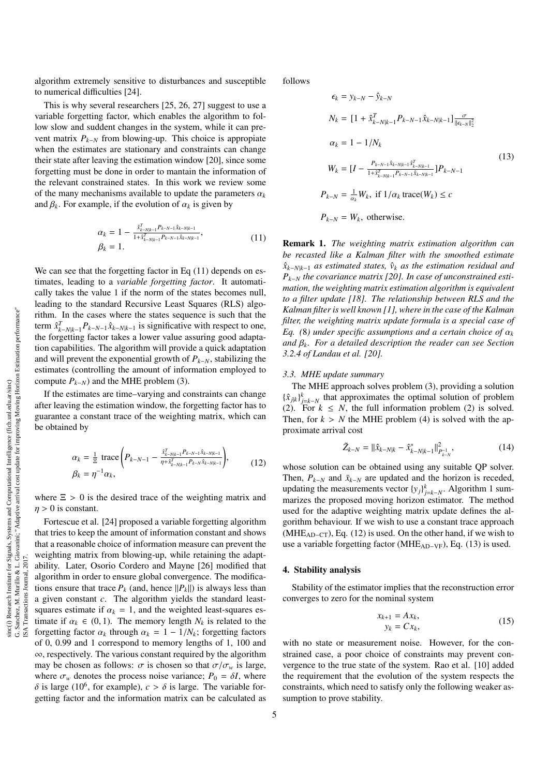algorithm extremely sensitive to disturbances and susceptible to numerical difficulties [24].

This is why several researchers [25, 26, 27] suggest to use a variable forgetting factor, which enables the algorithm to follow slow and suddent changes in the system, while it can prevent matrix  $P_{k-N}$  from blowing-up. This choice is appropiate when the estimates are stationary and constraints can change their state after leaving the estimation window [20], since some forgetting must be done in order to mantain the information of the relevant constrained states. In this work we review some of the many mechanisms available to update the parameters  $\alpha_k$ and  $\beta_k$ . For example, if the evolution of  $\alpha_k$  is given by

$$
\alpha_k = 1 - \frac{\hat{x}_{k-N|k-1}^T P_{k-N-1} \hat{x}_{k-N|k-1}}{1 + \hat{x}_{k-N|k-1}^T P_{k-N-1} \hat{x}_{k-N|k-1}},
$$
\n
$$
\beta_k = 1.
$$
\n(11)

We can see that the forgetting factor in Eq  $(11)$  depends on estimates, leading to a *variable forgetting factor*. It automatically takes the value 1 if the norm of the states becomes null, leading to the standard Recursive Least Squares (RLS) algorithm. In the cases where the states sequence is such that the term  $\hat{x}_{k-N|k-1}^T P_{k-N-1} \hat{x}_{k-N|k-1}$  is significative with respect to one, the forgetting factor takes a lower value assuring good adaptation capabilities. The algorithm will provide a quick adaptation and will prevent the exponential growth of  $P_{k-N}$ , stabilizing the estimates (controlling the amount of information employed to compute  $P_{k-N}$ ) and the MHE problem (3).

If the estimates are time–varying and constraints can change after leaving the estimation window, the forgetting factor has to guarantee a constant trace of the weighting matrix, which can be obtained by

$$
\alpha_k = \frac{1}{\Xi} \operatorname{trace} \left( P_{k-N-1} - \frac{\hat{x}_{k-N|k-1}^T P_{k-N-1} \hat{x}_{k-N|k-1}}{\eta + \hat{x}_{k-N|k-1}^T P_{k-N} \hat{x}_{k-N|k-1}} \right),\tag{12}
$$

where  $\Xi > 0$  is the desired trace of the weighting matrix and  $\eta > 0$  is constant.

Fortescue et al. [24] proposed a variable forgetting algorithm that tries to keep the amount of information constant and shows that a reasonable choice of information measure can prevent the weighting matrix from blowing-up, while retaining the adaptability. Later, Osorio Cordero and Mayne [26] modified that algorithm in order to ensure global convergence. The modifications ensure that trace  $P_k$  (and, hence  $||P_k||$ ) is always less than a given constant *c*. The algorithm yields the standard leastsquares estimate if  $\alpha_k = 1$ , and the weighted least-squares estimate if  $\alpha_k \in (0, 1)$ . The memory length  $N_k$  is related to the forgetting factor  $\alpha_k$  through  $\alpha_k = 1 - 1/N_k$ ; forgetting factors of 0, 0.99 and 1 correspond to memory lengths of 1, 100 and ∞, respectively. The various constant required by the algorithm may be chosen as follows:  $\sigma$  is chosen so that  $\sigma/\sigma_w$  is large, where  $\sigma_w$  denotes the process noise variance;  $P_0 = \delta I$ , where  $\delta$  is large (10<sup>6</sup>, for example), *c* >  $\delta$  is large. The variable for-<br>getting factor and the information matrix can be calculated as getting factor and the information matrix can be calculated as

follows

$$
\epsilon_{k} = y_{k-N} - \hat{y}_{k-N}
$$
\n
$$
N_{k} = [1 + \hat{x}_{k-N|k-1}^{T} P_{k-N-1} \hat{x}_{k-N|k-1}] \frac{\sigma}{\|\epsilon_{k-N}\|_{2}^{2}}
$$
\n
$$
\alpha_{k} = 1 - 1/N_{k}
$$
\n
$$
W_{k} = [I - \frac{P_{k-N-1} \hat{x}_{k-N|k-1} \hat{x}_{k-N|k-1}^{T}}{1 + \hat{x}_{k-N|k-1}^{T} P_{k-N-1} \hat{x}_{k-N|k-1}}] P_{k-N-1}
$$
\n
$$
P_{k-N} = \frac{1}{\alpha_{k}} W_{k}, \text{ if } 1/\alpha_{k} \text{ trace}(W_{k}) \le c
$$
\n
$$
P_{k-N} = W_{k}, \text{ otherwise.}
$$
\n
$$
(13)
$$

Remark 1. *The weighting matrix estimation algorithm can be recasted like a Kalman filter with the smoothed estimate*  $\hat{x}_{k-N|k-1}$  *as estimated states,*  $\hat{v}_k$  *as the estimation residual and Pk*−*<sup>N</sup> the covariance matrix [20]. In case of unconstrained estimation, the weighting matrix estimation algorithm is equivalent to a filter update [18]. The relationship between RLS and the Kalman filter is well known [1], where in the case of the Kalman filter, the weighting matrix update formula is a special case of Eq.* (8) under specific assumptions and a certain choice of  $\alpha_k$ *and* β*<sup>k</sup>. For a detailed description the reader can see Section 3.2.4 of Landau et al. [20].*

#### *3.3. MHE update summary*

The MHE approach solves problem (3), providing a solution  $\{\hat{x}_{j|k}\}_{j=k-N}^k$  that approximates the optimal solution of problem (2). For  $k \leq N$ , the full information problem (2) is solved. Then, for  $k > N$  the MHE problem (4) is solved with the approximate arrival cost

$$
\tilde{Z}_{k-N} = \|\hat{x}_{k-N|k} - \hat{x}_{k-N|k-1}^*\|_{P_{k-N}^{-1}}^2,\tag{14}
$$

whose solution can be obtained using any suitable QP solver. Then,  $P_{k-N}$  and  $\bar{x}_{k-N}$  are updated and the horizon is receded, updating the measurements vector  $\{y_j\}_{j=k-N}^k$ . Algorithm 1 summarizes the proposed moving horizon estimator. The method used for the adaptive weighting matrix update defines the algorithm behaviour. If we wish to use a constant trace approach (MHE<sub>AD−CT</sub>), Eq. (12) is used. On the other hand, if we wish to use a variable forgetting factor (MHE<sub>AD–VF</sub>), Eq. (13) is used.

#### 4. Stability analysis

Stability of the estimator implies that the reconstruction error converges to zero for the nominal system

$$
x_{k+1} = Ax_k,
$$
  
\n
$$
y_k = Cx_k,
$$
\n(15)

with no state or measurement noise. However, for the constrained case, a poor choice of constraints may prevent convergence to the true state of the system. Rao et al. [10] added the requirement that the evolution of the system respects the constraints, which need to satisfy only the following weaker assumption to prove stability.

ISA Transactions Journal, 2017.

SA.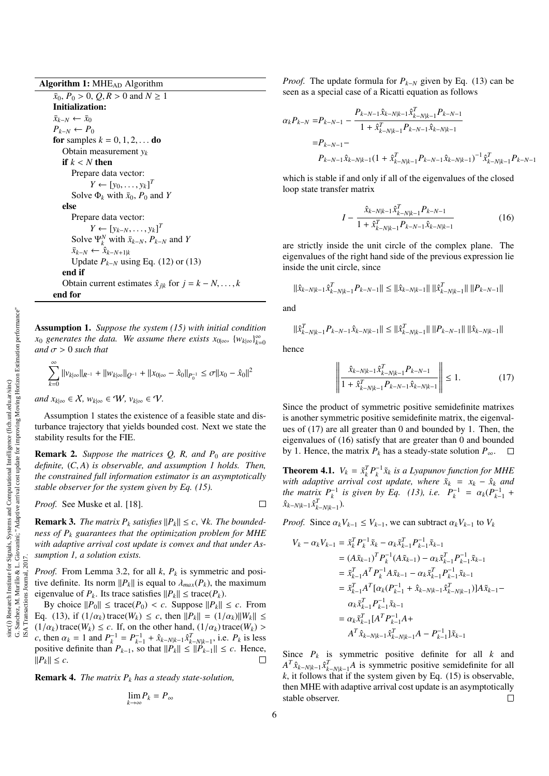Algorithm 1: MHE<sub>AD</sub> Algorithm

 $\bar{x}_0$ ,  $P_0 > 0$ ,  $Q, R > 0$  and  $N \ge 1$ Initialization:  $\bar{x}_{k-N}$  ←  $\bar{x}_0$  $P_{k-N}$  ←  $P_0$ for samples  $k = 0, 1, 2, \ldots$  do Obtain measurement *y<sup>k</sup>* if  $k < N$  then Prepare data vector:  $Y \leftarrow [y_0, \ldots, y_k]^T$ <br> **P**<sub>1</sub> *D<sub>1</sub>* with  $\bar{y}_0$ ,  $P_0$ , 2 Solve  $\Phi_k$  with  $\bar{x}_0$ ,  $P_0$  and *Y* else Prepare data vector:  $Y \leftarrow [y_{k-N}, \ldots, y_k]^T$ <br>**P**<sup>*N*</sup> with  $\bar{y}_k \times P$ Solve  $\Psi_k^N$  with  $\bar{x}_{k-N}$ ,  $P_{k-N}$  and *Y*  $\bar{x}_{k-N}$  ←  $\hat{x}_{k-N+1|k}$ Update *Pk*−*<sup>N</sup>* using Eq. (12) or (13) end if Obtain current estimates  $\hat{x}_{jk}$  for  $j = k - N, \ldots, k$ end for

Assumption 1. *Suppose the system (15) with initial condition*  $x_0$  *generates the data.* We assume there exists  $x_{0|\infty}$ ,  $\{w_{k|\infty}\}_{k=0}^{\infty}$ *and*  $\sigma > 0$  *such that* 

$$
\sum_{k=0}^{\infty} ||v_{k|\infty}||_{R^{-1}} + ||w_{k|\infty}||_{Q^{-1}} + ||x_{0|\infty} - \hat{x}_0||_{P_0^{-1}} \le \sigma ||x_0 - \hat{x}_0||^2
$$

*and*  $x_{k|∞}$  ∈  $X$ *, w*<sub>*k*|∞</sub> ∈  $W$ *, v*<sub>*k*|∞</sub> ∈  $V$ .

Assumption 1 states the existence of a feasible state and disturbance trajectory that yields bounded cost. Next we state the stability results for the FIE.

**Remark 2.** *Suppose the matrices Q, R, and P<sub>0</sub> are positive definite,* (*C*, *<sup>A</sup>*) *is observable, and assumption 1 holds. Then, the constrained full information estimator is an asymptotically stable observer for the system given by Eq. (15).*

*Proof.* See Muske et al. [18].

**Remark 3.** *The matrix P<sub>k</sub> satisfies*  $||P_k|| \leq c$ ,  $\forall k$ *. The boundedness of P<sup>k</sup> guarantees that the optimization problem for MHE with adaptive arrival cost update is convex and that under Assumption 1, a solution exists.*

*Proof.* From Lemma 3.2, for all *k*, *P<sup>k</sup>* is symmetric and positive definite. Its norm  $||P_k||$  is equal to  $\lambda_{max}(P_k)$ , the maximum eigenvalue of  $P_k$ . Its trace satisfies  $||P_k|| \leq \text{trace}(P_k)$ .

By choice  $||P_0|| \leq \text{trace}(P_0) < c$ . Suppose  $||P_k|| \leq c$ . From Eq. (13), if (1/α*<sup>k</sup>*) trace(*Wk*) <sup>≤</sup> *<sup>c</sup>*, then ||*Pk*|| <sup>=</sup> (1/α*<sup>k</sup>*)||*Wk*|| ≤  $(1/\alpha_k)$  trace( $W_k$ )  $\leq c$ . If, on the other hand,  $(1/\alpha_k)$  trace( $W_k$ ) > *c*, then  $\alpha_k = 1$  and  $P_k^{-1} = P_{k-1}^{-1} + \hat{x}_{k-N|k-1}\hat{x}_{k-N|k-1}^T$ , i.e.  $P_k$  is less positive definite than  $P_k$ , so that  $||P_k|| \le ||P_k|| \le c$ . Hence positive definite than  $P_{k-1}$ , so that  $||P_k|| \le ||P_{k-1}|| \le c$ . Hence,  $||P_k|| \leq c$ .  $\Box$ 

Remark 4. *The matrix P<sup>k</sup> has a steady state-solution,*

$$
\lim_{k\to\infty} P_k = P_\infty
$$

*Proof.* The update formula for  $P_{k-N}$  given by Eq. (13) can be seen as a special case of a Ricatti equation as follows

$$
\alpha_{k}P_{k-N} = P_{k-N-1} - \frac{P_{k-N-1}\hat{x}_{k-N|k-1}\hat{x}_{k-N|k-1}^{T}P_{k-N-1}}{1 + \hat{x}_{k-N|k-1}^{T}P_{k-N-1}\hat{x}_{k-N|k-1}}
$$
  
=  $P_{k-N-1} - P_{k-N-1}\hat{x}_{k-N|k-1}(1 + \hat{x}_{k-N|k-1}^{T}P_{k-N-1}\hat{x}_{k-N|k-1})^{-1}\hat{x}_{k-N|k-1}^{T}P_{k-N-1}$ 

which is stable if and only if all of the eigenvalues of the closed loop state transfer matrix

$$
I - \frac{\hat{x}_{k-N|k-1}\hat{x}_{k-N|k-1}^T P_{k-N-1}}{1 + \hat{x}_{k-N|k-1}^T P_{k-N-1}\hat{x}_{k-N|k-1}}
$$
(16)

are strictly inside the unit circle of the complex plane. The eigenvalues of the right hand side of the previous expression lie inside the unit circle, since

 $\|\hat{x}_{k-N|k-1}\hat{x}_{k-N|k-1}^TP_{k-N-1}\|\leq \|\hat{x}_{k-N|k-1}\|\,\|\hat{x}_{k-N|k-1}^T\|\,\|P_{k-N-1}\|$ 

and

$$
\|\hat{x}_{k-N|k-1}^T P_{k-N-1} \hat{x}_{k-N|k-1}\| \le \|\hat{x}_{k-N|k-1}^T\| \|P_{k-N-1}\| \|\hat{x}_{k-N|k-1}\|
$$

hence

$$
\left\| \frac{\hat{x}_{k-N|k-1} \hat{x}_{k-N|k-1}^T P_{k-N-1}}{1 + \hat{x}_{k-N|k-1}^T P_{k-N-1} \hat{x}_{k-N|k-1}} \right\| \le 1.
$$
 (17)

Since the product of symmetric positive semidefinite matrixes is another symmetric positive semidefinite matrix, the eigenvalues of (17) are all greater than 0 and bounded by 1. Then, the eigenvalues of (16) satisfy that are greater than 0 and bounded by 1. Hence, the matrix  $P_k$  has a steady-state solution  $P_\infty$ .  $\Box$ 

**Theorem 4.1.**  $V_k = \tilde{x}_k^T P_k^{-1} \tilde{x}_k$  *is a Lyapunov function for MHE with adaptive arrival cost update, where*  $\tilde{x}_k = x_k - \hat{x}_k$  *and the matrix*  $P_k^{-1}$  *is given by Eq.* (13), *i.e.*  $P_k^{-1} = \alpha_k (P_{k-1}^{-1} + \hat{\beta}_{k-1})$  $\hat{x}_{k-N|k-1} \hat{x}_{k-N|k-1}^T$ )*.* 

*Proof.* Since  $\alpha_k V_{k-1} \leq V_{k-1}$ , we can subtract  $\alpha_k V_{k-1}$  to  $V_k$ 

$$
V_{k} - \alpha_{k} V_{k-1} = \tilde{x}_{k}^{T} P_{k}^{-1} \tilde{x}_{k} - \alpha_{k} \tilde{x}_{k-1}^{T} P_{k-1}^{-1} \tilde{x}_{k-1}
$$
  
\n
$$
= (A \tilde{x}_{k-1})^{T} P_{k}^{-1} (A \tilde{x}_{k-1}) - \alpha_{k} \tilde{x}_{k-1}^{T} P_{k-1}^{-1} \tilde{x}_{k-1}
$$
  
\n
$$
= \tilde{x}_{k-1}^{T} A^{T} P_{k}^{-1} A \tilde{x}_{k-1} - \alpha_{k} \tilde{x}_{k-1}^{T} P_{k-1}^{-1} \tilde{x}_{k-1}
$$
  
\n
$$
= \tilde{x}_{k-1}^{T} A^{T} [\alpha_{k} (P_{k-1}^{-1} + \hat{x}_{k-N|k-1} \hat{x}_{k-N|k-1}^{T})] A \tilde{x}_{k-1} - \alpha_{k} \tilde{x}_{k-1}^{T} P_{k-1}^{-1} \tilde{x}_{k-1}
$$
  
\n
$$
= \alpha_{k} \tilde{x}_{k-1}^{T} [A^{T} P_{k-1}^{-1} A +
$$
  
\n
$$
A^{T} \hat{x}_{k-N|k-1} \hat{x}_{k-N|k-1}^{T} A - P_{k-1}^{-1} ] \tilde{x}_{k-1}
$$

Since  $P_k$  is symmetric positive definite for all  $k$  and  $A^T \hat{x}_{k-N|k-1} \hat{x}_{k-N|k-1}^T A$  is symmetric positive semidefinite for all  $k$ , it follows that if the system given by Eq.  $(15)$  is observable, then MHE with adaptive arrival cost update is an asymptotically stable observer.  $\Box$ 

 $\Box$ 

ISA Transactions Journal, 2017.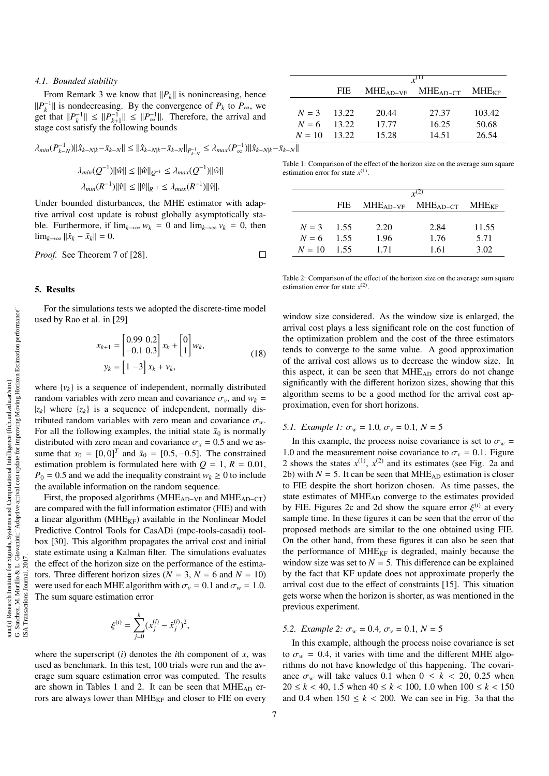#### *4.1. Bounded stability*

From Remark 3 we know that  $||P_k||$  is nonincreasing, hence  $||P_k^{-1}||$  is nondecreasing. By the convergence of  $P_k$  to  $P_\infty$ , we get that  $||P_k^{-1}|| \le ||P_{k+1}^{-1}|| \le ||P_{\infty}^{-1}||$ . Therefore, the arrival and stage cost satisfy the following bounds

$$
\lambda_{min}(P_{k-N}^{-1})||\hat{x}_{k-N|k} - \bar{x}_{k-N}|| \le ||\hat{x}_{k-N|k} - \bar{x}_{k-N}||_{P_{k-N}^{-1}} \le \lambda_{max}(P_{\infty}^{-1})||\hat{x}_{k-N|k} - \bar{x}_{k-N}||
$$
  
Table

$$
\lambda_{min}(Q^{-1}) ||\hat{w}|| \le ||\hat{w}||_{Q^{-1}} \le \lambda_{max}(Q^{-1}) ||\hat{w}||
$$
  

$$
\lambda_{min}(R^{-1}) ||\hat{v}|| \le ||\hat{v}||_{R^{-1}} \le \lambda_{max}(R^{-1}) ||\hat{v}||.
$$

Under bounded disturbances, the MHE estimator with adaptive arrival cost update is robust globally asymptotically stable. Furthermore, if  $\lim_{k\to\infty} w_k = 0$  and  $\lim_{k\to\infty} v_k = 0$ , then  $\lim_{k\to\infty}$  || $\hat{x}_k - \bar{x}_k$ || = 0.

 $\Box$ *Proof.* See Theorem 7 of [28].

### 5. Results

For the simulations tests we adopted the discrete-time model used by Rao et al. in [29]

$$
x_{k+1} = \begin{bmatrix} 0.99 & 0.2 \\ -0.1 & 0.3 \end{bmatrix} x_k + \begin{bmatrix} 0 \\ 1 \end{bmatrix} w_k,
$$
  

$$
y_k = \begin{bmatrix} 1 & -3 \end{bmatrix} x_k + v_k,
$$
 (18)

where  $\{v_k\}$  is a sequence of independent, normally distributed random variables with zero mean and covariance  $\sigma_v$ , and  $w_k$  =  $|z_k|$  where  $\{z_k\}$  is a sequence of independent, normally distributed random variables with zero mean and covariance  $\sigma_w$ . For all the following examples, the initial state  $\bar{x}_0$  is normally distributed with zero mean and covariance  $\sigma_x = 0.5$  and we assume that  $x_0 = [0, 0]^T$  and  $\bar{x}_0 = [0.5, -0.5]$ . The constrained<br>estimation problem is formulated here with  $Q = 1$ ,  $R = 0.01$ . estimation problem is formulated here with  $Q = 1$ ,  $R = 0.01$ ,  $P_0 = 0.5$  and we add the inequality constraint  $w_k \ge 0$  to include the available information on the random sequence.

First, the proposed algorithms (MHEAD−VF and MHEAD−CT) are compared with the full information estimator (FIE) and with a linear algorithm ( $MHE_{KF}$ ) available in the Nonlinear Model Predictive Control Tools for CasADi (mpc-tools-casadi) toolbox [30]. This algorithm propagates the arrival cost and initial state estimate using a Kalman filter. The simulations evaluates the effect of the horizon size on the performance of the estimators. Three different horizon sizes ( $N = 3$ ,  $N = 6$  and  $N = 10$ ) were used for each MHE algorithm with  $\sigma_v = 0.1$  and  $\sigma_w = 1.0$ . The sum square estimation error

$$
\xi^{(i)} = \sum_{j=0}^{k} (x_j^{(i)} - \hat{x}_j^{(i)})^2,
$$

where the superscript  $(i)$  denotes the *i*th component of *x*, was used as benchmark. In this test, 100 trials were run and the average sum square estimation error was computed. The results are shown in Tables 1 and 2. It can be seen that  $MHE_{AD}$  errors are always lower than MHE<sub>KF</sub> and closer to FIE on every

|          | $r^{(1)}$ |            |            |            |  |
|----------|-----------|------------|------------|------------|--|
|          | FIE.      | $MHEAD-VF$ | $MHEAD-CT$ | $MHE_{KF}$ |  |
|          |           |            |            |            |  |
| $N=3$    | 13.22     | 20.44      | 27.37      | 103.42     |  |
| $N = 6$  | 13.22     | 17.77      | 16.25      | 50.68      |  |
| $N = 10$ | - 13.22   | 15.28      | 14.51      | 26.54      |  |

ble 1: Comparison of the effect of the horizon size on the average sum square estimation error for state  $x^{(1)}$ .

|              | $\mathbf{r}^{(2)}$ |            |            |            |  |
|--------------|--------------------|------------|------------|------------|--|
|              | FIE.               | $MHEAD-VF$ | $MHEAD-CT$ | $MHE_{KF}$ |  |
|              |                    |            |            |            |  |
| $N = 3$ 1.55 |                    | 2.20       | 2.84       | 11.55      |  |
| $N=6$        | 1.55               | 1.96       | 1.76       | 5.71       |  |
| $N=10$       | 1.55               | 171        | 1.61       | 3.02       |  |

Table 2: Comparison of the effect of the horizon size on the average sum square estimation error for state  $x^{(2)}$ .

window size considered. As the window size is enlarged, the arrival cost plays a less significant role on the cost function of the optimization problem and the cost of the three estimators tends to converge to the same value. A good approximation of the arrival cost allows us to decrease the window size. In this aspect, it can be seen that  $MHE_{AD}$  errors do not change significantly with the different horizon sizes, showing that this algorithm seems to be a good method for the arrival cost approximation, even for short horizons.

# *5.1. Example 1:*  $\sigma_w = 1.0$ ,  $\sigma_v = 0.1$ ,  $N = 5$

In this example, the process noise covariance is set to  $\sigma_w$  = 1.0 and the measurement noise covariance to  $\sigma_v = 0.1$ . Figure 2 shows the states  $x^{(1)}$ ,  $x^{(2)}$  and its estimates (see Fig. 2a and 2b) with  $N = 5$ . It can be seen that MHE<sub>AD</sub> estimation is closer to FIE despite the short horizon chosen. As time passes, the state estimates of MHEAD converge to the estimates provided by FIE. Figures 2c and 2d show the square error  $\xi^{(i)}$  at every<br>sample time. In these figures it can be seen that the error of the sample time. In these figures it can be seen that the error of the proposed methods are similar to the one obtained using FIE. On the other hand, from these figures it can also be seen that the performance of  $MHE_{KF}$  is degraded, mainly because the window size was set to  $N = 5$ . This difference can be explained by the fact that KF update does not approximate properly the arrival cost due to the effect of constraints [15]. This situation gets worse when the horizon is shorter, as was mentioned in the previous experiment.

# *5.2. Example 2:*  $\sigma_w = 0.4$ ,  $\sigma_v = 0.1$ ,  $N = 5$

In this example, although the process noise covariance is set to  $\sigma_w = 0.4$ , it varies with time and the different MHE algorithms do not have knowledge of this happening. The covariance  $\sigma_w$  will take values 0.1 when  $0 \le k < 20$ , 0.25 when <sup>20</sup> <sup>≤</sup> *<sup>k</sup>* < 40, 1.5 when 40 <sup>≤</sup> *<sup>k</sup>* < 100, 1.0 when 100 <sup>≤</sup> *<sup>k</sup>* < <sup>150</sup> and 0.4 when  $150 \le k < 200$ . We can see in Fig. 3a that the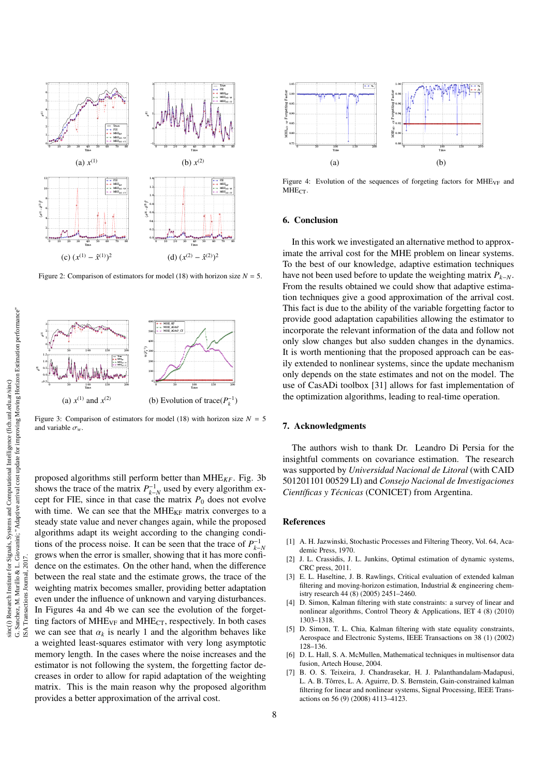

Figure 2: Comparison of estimators for model (18) with horizon size  $N = 5$ .



Figure 3: Comparison of estimators for model (18) with horizon size  $N = 5$ and variable  $\sigma_w$ .

proposed algorithms still perform better than MHE*KF*. Fig. 3b shows the trace of the matrix  $P_{k-N}^{-1}$  used by every algorithm except for FIE, since in that case the matrix  $P_0$  does not evolve with time. We can see that the  $MHE_{KF}$  matrix converges to a steady state value and never changes again, while the proposed algorithms adapt its weight according to the changing conditions of the process noise. It can be seen that the trace of  $P_{k-N}^{-1}$ grows when the error is smaller, showing that it has more confidence on the estimates. On the other hand, when the difference between the real state and the estimate grows, the trace of the weighting matrix becomes smaller, providing better adaptation even under the influence of unknown and varying disturbances. In Figures 4a and 4b we can see the evolution of the forgetting factors of  $MHE_{VF}$  and  $MHE_{CT}$ , respectively. In both cases we can see that  $\alpha_k$  is nearly 1 and the algorithm behaves like a weighted least-squares estimator with very long asymptotic memory length. In the cases where the noise increases and the estimator is not following the system, the forgetting factor decreases in order to allow for rapid adaptation of the weighting matrix. This is the main reason why the proposed algorithm provides a better approximation of the arrival cost.



Figure 4: Evolution of the sequences of forgeting factors for  $MHE_{VF}$  and  $MHE_{CT}$ 

### 6. Conclusion

In this work we investigated an alternative method to approximate the arrival cost for the MHE problem on linear systems. To the best of our knowledge, adaptive estimation techniques have not been used before to update the weighting matrix  $P_{k-N}$ . From the results obtained we could show that adaptive estimation techniques give a good approximation of the arrival cost. This fact is due to the ability of the variable forgetting factor to provide good adaptation capabilities allowing the estimator to incorporate the relevant information of the data and follow not only slow changes but also sudden changes in the dynamics. It is worth mentioning that the proposed approach can be easily extended to nonlinear systems, since the update mechanism only depends on the state estimates and not on the model. The use of CasADi toolbox [31] allows for fast implementation of the optimization algorithms, leading to real-time operation.

#### 7. Acknowledgments

The authors wish to thank Dr. Leandro Di Persia for the insightful comments on covariance estimation. The research was supported by *Universidad Nacional de Litoral* (with CAID 501201101 00529 LI) and *Consejo Nacional de Investigaciones Científicas y Técnicas* (CONICET) from Argentina.

# References

- [1] A. H. Jazwinski, Stochastic Processes and Filtering Theory, Vol. 64, Academic Press, 1970.
- [2] J. L. Crassidis, J. L. Junkins, Optimal estimation of dynamic systems, CRC press, 2011.
- [3] E. L. Haseltine, J. B. Rawlings, Critical evaluation of extended kalman filtering and moving-horizon estimation, Industrial  $\&$  engineering chemistry research 44 (8) (2005) 2451–2460.
- [4] D. Simon, Kalman filtering with state constraints: a survey of linear and nonlinear algorithms, Control Theory & Applications, IET 4 (8) (2010) 1303–1318.
- [5] D. Simon, T. L. Chia, Kalman filtering with state equality constraints, Aerospace and Electronic Systems, IEEE Transactions on 38 (1) (2002) 128–136.
- [6] D. L. Hall, S. A. McMullen, Mathematical techniques in multisensor data fusion, Artech House, 2004.
- [7] B. O. S. Teixeira, J. Chandrasekar, H. J. Palanthandalam-Madapusi, L. A. B. Tôrres, L. A. Aguirre, D. S. Bernstein, Gain-constrained kalman filtering for linear and nonlinear systems, Signal Processing, IEEE Transactions on 56 (9) (2008) 4113–4123.

ISA Transactions Journal, 2017.

 $_{20}$